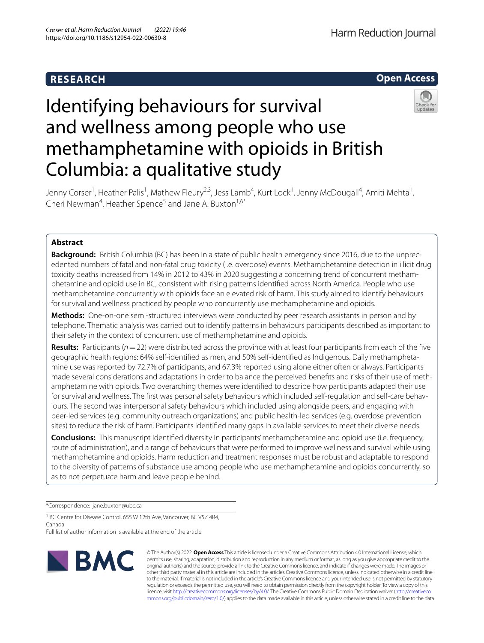# **RESEARCH**

# **Open Access**



# Identifying behaviours for survival and wellness among people who use methamphetamine with opioids in British Columbia: a qualitative study

Jenny Corser<sup>1</sup>, Heather Palis<sup>1</sup>, Mathew Fleury<sup>2,3</sup>, Jess Lamb<sup>4</sup>, Kurt Lock<sup>1</sup>, Jenny McDougall<sup>4</sup>, Amiti Mehta<sup>1</sup>, Cheri Newman<sup>4</sup>, Heather Spence<sup>5</sup> and Jane A. Buxton<sup>1,6\*</sup>

# **Abstract**

**Background:** British Columbia (BC) has been in a state of public health emergency since 2016, due to the unprecedented numbers of fatal and non-fatal drug toxicity (i.e. overdose) events. Methamphetamine detection in illicit drug toxicity deaths increased from 14% in 2012 to 43% in 2020 suggesting a concerning trend of concurrent methamphetamine and opioid use in BC, consistent with rising patterns identifed across North America. People who use methamphetamine concurrently with opioids face an elevated risk of harm. This study aimed to identify behaviours for survival and wellness practiced by people who concurrently use methamphetamine and opioids.

**Methods:** One-on-one semi-structured interviews were conducted by peer research assistants in person and by telephone. Thematic analysis was carried out to identify patterns in behaviours participants described as important to their safety in the context of concurrent use of methamphetamine and opioids.

**Results:** Participants ( $n=22$ ) were distributed across the province with at least four participants from each of the five geographic health regions: 64% self-identifed as men, and 50% self-identifed as Indigenous. Daily methamphetamine use was reported by 72.7% of participants, and 67.3% reported using alone either often or always. Participants made several considerations and adaptations in order to balance the perceived benefts and risks of their use of methamphetamine with opioids. Two overarching themes were identifed to describe how participants adapted their use for survival and wellness. The frst was personal safety behaviours which included self-regulation and self-care behaviours. The second was interpersonal safety behaviours which included using alongside peers, and engaging with peer-led services (e.g. community outreach organizations) and public health-led services (e.g. overdose prevention sites) to reduce the risk of harm. Participants identifed many gaps in available services to meet their diverse needs.

**Conclusions:** This manuscript identifed diversity in participants' methamphetamine and opioid use (i.e. frequency, route of administration), and a range of behaviours that were performed to improve wellness and survival while using methamphetamine and opioids. Harm reduction and treatment responses must be robust and adaptable to respond to the diversity of patterns of substance use among people who use methamphetamine and opioids concurrently, so as to not perpetuate harm and leave people behind.

\*Correspondence: jane.buxton@ubc.ca

<sup>1</sup> BC Centre for Disease Control, 655 W 12th Ave, Vancouver, BC V5Z 4R4, Canada

Full list of author information is available at the end of the article



© The Author(s) 2022. **Open Access** This article is licensed under a Creative Commons Attribution 4.0 International License, which permits use, sharing, adaptation, distribution and reproduction in any medium or format, as long as you give appropriate credit to the original author(s) and the source, provide a link to the Creative Commons licence, and indicate if changes were made. The images or other third party material in this article are included in the article's Creative Commons licence, unless indicated otherwise in a credit line to the material. If material is not included in the article's Creative Commons licence and your intended use is not permitted by statutory regulation or exceeds the permitted use, you will need to obtain permission directly from the copyright holder. To view a copy of this licence, visit [http://creativecommons.org/licenses/by/4.0/.](http://creativecommons.org/licenses/by/4.0/) The Creative Commons Public Domain Dedication waiver ([http://creativeco](http://creativecommons.org/publicdomain/zero/1.0/) [mmons.org/publicdomain/zero/1.0/](http://creativecommons.org/publicdomain/zero/1.0/)) applies to the data made available in this article, unless otherwise stated in a credit line to the data.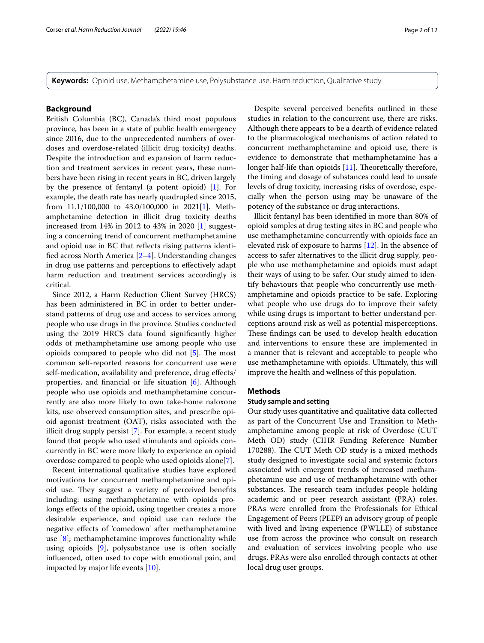**Keywords:** Opioid use, Methamphetamine use, Polysubstance use, Harm reduction, Qualitative study

# **Background**

British Columbia (BC), Canada's third most populous province, has been in a state of public health emergency since 2016, due to the unprecedented numbers of overdoses and overdose-related (illicit drug toxicity) deaths. Despite the introduction and expansion of harm reduction and treatment services in recent years, these numbers have been rising in recent years in BC, driven largely by the presence of fentanyl (a potent opioid) [[1\]](#page-10-0). For example, the death rate has nearly quadrupled since 2015, from 11.1/100,000 to 43.0/100,000 in 2021[[1\]](#page-10-0). Methamphetamine detection in illicit drug toxicity deaths increased from 14% in 2012 to 43% in 2020 [[1\]](#page-10-0) suggesting a concerning trend of concurrent methamphetamine and opioid use in BC that refects rising patterns identifed across North America [[2–](#page-10-1)[4](#page-10-2)]. Understanding changes in drug use patterns and perceptions to efectively adapt harm reduction and treatment services accordingly is critical.

Since 2012, a Harm Reduction Client Survey (HRCS) has been administered in BC in order to better understand patterns of drug use and access to services among people who use drugs in the province. Studies conducted using the 2019 HRCS data found signifcantly higher odds of methamphetamine use among people who use opioids compared to people who did not  $[5]$  $[5]$ . The most common self-reported reasons for concurrent use were self-medication, availability and preference, drug effects/ properties, and fnancial or life situation [\[6](#page-10-4)]. Although people who use opioids and methamphetamine concurrently are also more likely to own take-home naloxone kits, use observed consumption sites, and prescribe opioid agonist treatment (OAT), risks associated with the illicit drug supply persist [\[7](#page-10-5)]. For example, a recent study found that people who used stimulants and opioids concurrently in BC were more likely to experience an opioid overdose compared to people who used opioids alone[\[7\]](#page-10-5).

Recent international qualitative studies have explored motivations for concurrent methamphetamine and opioid use. They suggest a variety of perceived benefits including: using methamphetamine with opioids prolongs efects of the opioid, using together creates a more desirable experience, and opioid use can reduce the negative efects of 'comedown' after methamphetamine use [[8\]](#page-10-6); methamphetamine improves functionality while using opioids [[9\]](#page-10-7), polysubstance use is often socially infuenced, often used to cope with emotional pain, and impacted by major life events [[10\]](#page-10-8).

Despite several perceived benefts outlined in these studies in relation to the concurrent use, there are risks. Although there appears to be a dearth of evidence related to the pharmacological mechanisms of action related to concurrent methamphetamine and opioid use, there is evidence to demonstrate that methamphetamine has a longer half-life than opioids [[11\]](#page-10-9). Theoretically therefore, the timing and dosage of substances could lead to unsafe levels of drug toxicity, increasing risks of overdose, especially when the person using may be unaware of the potency of the substance or drug interactions.

Illicit fentanyl has been identifed in more than 80% of opioid samples at drug testing sites in BC and people who use methamphetamine concurrently with opioids face an elevated risk of exposure to harms [\[12\]](#page-10-10). In the absence of access to safer alternatives to the illicit drug supply, people who use methamphetamine and opioids must adapt their ways of using to be safer. Our study aimed to identify behaviours that people who concurrently use methamphetamine and opioids practice to be safe. Exploring what people who use drugs do to improve their safety while using drugs is important to better understand perceptions around risk as well as potential misperceptions. These findings can be used to develop health education and interventions to ensure these are implemented in a manner that is relevant and acceptable to people who use methamphetamine with opioids. Ultimately, this will improve the health and wellness of this population.

# **Methods**

## **Study sample and setting**

Our study uses quantitative and qualitative data collected as part of the Concurrent Use and Transition to Methamphetamine among people at risk of Overdose (CUT Meth OD) study (CIHR Funding Reference Number 170288). The CUT Meth OD study is a mixed methods study designed to investigate social and systemic factors associated with emergent trends of increased methamphetamine use and use of methamphetamine with other substances. The research team includes people holding academic and or peer research assistant (PRA) roles. PRAs were enrolled from the Professionals for Ethical Engagement of Peers (PEEP) an advisory group of people with lived and living experience (PWLLE) of substance use from across the province who consult on research and evaluation of services involving people who use drugs. PRAs were also enrolled through contacts at other local drug user groups.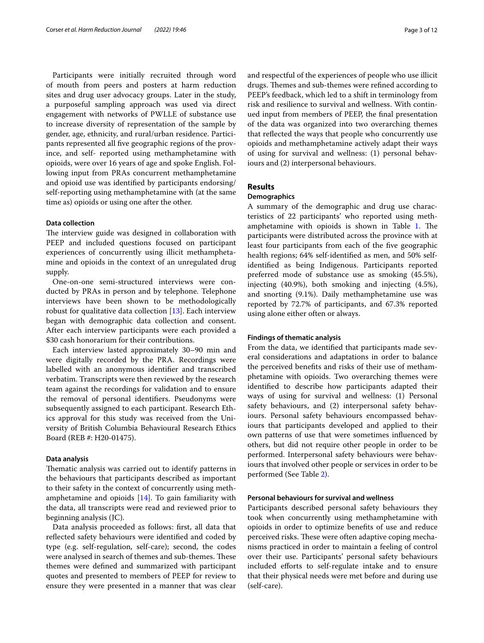Participants were initially recruited through word of mouth from peers and posters at harm reduction sites and drug user advocacy groups. Later in the study, a purposeful sampling approach was used via direct engagement with networks of PWLLE of substance use to increase diversity of representation of the sample by gender, age, ethnicity, and rural/urban residence. Participants represented all fve geographic regions of the province, and self- reported using methamphetamine with opioids, were over 16 years of age and spoke English. Following input from PRAs concurrent methamphetamine and opioid use was identifed by participants endorsing/ self-reporting using methamphetamine with (at the same time as) opioids or using one after the other.

#### **Data collection**

The interview guide was designed in collaboration with PEEP and included questions focused on participant experiences of concurrently using illicit methamphetamine and opioids in the context of an unregulated drug supply.

One-on-one semi-structured interviews were conducted by PRAs in person and by telephone. Telephone interviews have been shown to be methodologically robust for qualitative data collection [[13](#page-10-11)]. Each interview began with demographic data collection and consent. After each interview participants were each provided a \$30 cash honorarium for their contributions.

Each interview lasted approximately 30–90 min and were digitally recorded by the PRA. Recordings were labelled with an anonymous identifer and transcribed verbatim. Transcripts were then reviewed by the research team against the recordings for validation and to ensure the removal of personal identifers. Pseudonyms were subsequently assigned to each participant. Research Ethics approval for this study was received from the University of British Columbia Behavioural Research Ethics Board (REB #: H20-01475).

# **Data analysis**

Thematic analysis was carried out to identify patterns in the behaviours that participants described as important to their safety in the context of concurrently using methamphetamine and opioids  $[14]$  $[14]$ . To gain familiarity with the data, all transcripts were read and reviewed prior to beginning analysis (JC).

Data analysis proceeded as follows: frst, all data that reflected safety behaviours were identified and coded by type (e.g. self-regulation, self-care); second, the codes were analysed in search of themes and sub-themes. These themes were defned and summarized with participant quotes and presented to members of PEEP for review to ensure they were presented in a manner that was clear and respectful of the experiences of people who use illicit drugs. Themes and sub-themes were refined according to PEEP's feedback, which led to a shift in terminology from risk and resilience to survival and wellness. With continued input from members of PEEP, the fnal presentation of the data was organized into two overarching themes that refected the ways that people who concurrently use opioids and methamphetamine actively adapt their ways of using for survival and wellness: (1) personal behaviours and (2) interpersonal behaviours.

## **Results**

#### **Demographics**

A summary of the demographic and drug use characteristics of 22 participants' who reported using methamphetamine with opioids is shown in Table  $1$ . The participants were distributed across the province with at least four participants from each of the fve geographic health regions; 64% self-identifed as men, and 50% selfidentifed as being Indigenous. Participants reported preferred mode of substance use as smoking (45.5%), injecting (40.9%), both smoking and injecting (4.5%), and snorting (9.1%). Daily methamphetamine use was reported by 72.7% of participants, and 67.3% reported using alone either often or always.

## **Findings of thematic analysis**

From the data, we identifed that participants made several considerations and adaptations in order to balance the perceived benefts and risks of their use of methamphetamine with opioids. Two overarching themes were identifed to describe how participants adapted their ways of using for survival and wellness: (1) Personal safety behaviours, and (2) interpersonal safety behaviours. Personal safety behaviours encompassed behaviours that participants developed and applied to their own patterns of use that were sometimes infuenced by others, but did not require other people in order to be performed. Interpersonal safety behaviours were behaviours that involved other people or services in order to be performed (See Table [2\)](#page-3-1).

# **Personal behaviours for survival and wellness**

Participants described personal safety behaviours they took when concurrently using methamphetamine with opioids in order to optimize benefts of use and reduce perceived risks. These were often adaptive coping mechanisms practiced in order to maintain a feeling of control over their use. Participants' personal safety behaviours included efforts to self-regulate intake and to ensure that their physical needs were met before and during use (self-care).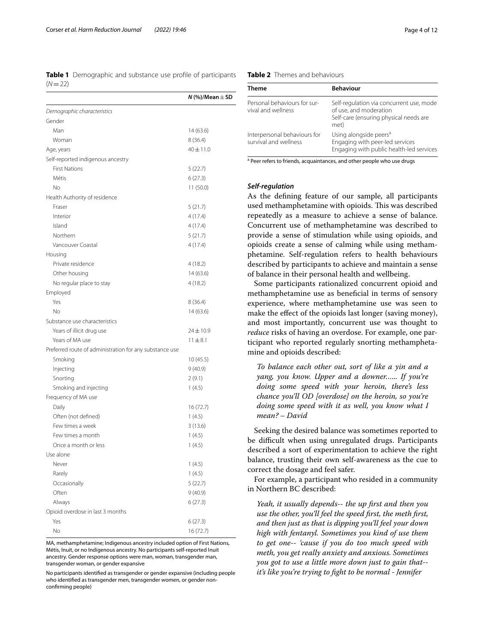<span id="page-3-0"></span>**Table 1** Demographic and substance use profle of participants  $(N=22)$ 

|                                                         | N (%)/Mean $\pm$ SD |
|---------------------------------------------------------|---------------------|
| Demographic characteristics                             |                     |
| Gender                                                  |                     |
| Man                                                     | 14 (63.6)           |
| Woman                                                   | 8(36.4)             |
| Age, years                                              | $40 \pm 11.0$       |
| Self-reported indigenous ancestry                       |                     |
| <b>First Nations</b>                                    | 5(22.7)             |
| Métis                                                   | 6(27.3)             |
| No                                                      | 11 (50.0)           |
| Health Authority of residence                           |                     |
| Fraser                                                  | 5(21.7)             |
| Interior                                                | 4 (17.4)            |
| Island                                                  | 4 (17.4)            |
| Northern                                                | 5(21.7)             |
| Vancouver Coastal                                       | 4 (17.4)            |
| Housing                                                 |                     |
| Private residence                                       | 4 (18.2)            |
| Other housing                                           | 14 (63.6)           |
| No regular place to stay                                | 4 (18.2)            |
| Employed                                                |                     |
| Yes                                                     | 8(36.4)             |
| No                                                      | 14 (63.6)           |
| Substance use characteristics                           |                     |
| Years of illicit drug use                               | $24 \pm 10.9$       |
| Years of MA use                                         | $11 \pm 8.1$        |
| Preferred route of administration for any substance use |                     |
| Smoking                                                 | 10 (45.5)           |
| Injecting                                               | 9(40.9)             |
| Snorting                                                | 2(9.1)              |
| Smoking and injecting                                   | 1(4.5)              |
| Frequency of MA use                                     |                     |
| Daily                                                   | 16(72.7)            |
| Often (not defined)                                     | 1(4.5)              |
| Few times a week                                        | 3(13.6)             |
| Few times a month                                       | 1(4.5)              |
| Once a month or less                                    | 1(4.5)              |
| Use alone                                               |                     |
| Never                                                   | 1(4.5)              |
| Rarely                                                  | 1(4.5)              |
| Occasionally                                            | 5(22.7)             |
| Often                                                   | 9 (40.9)            |
| Always                                                  | 6(27.3)             |
| Opioid overdose in last 3 months                        |                     |
| Yes                                                     | 6(27.3)             |
| No                                                      | 16 (72.7)           |
|                                                         |                     |

MA, methamphetamine; Indigenous ancestry included option of First Nations, Métis, Inuit, or no Indigenous ancestry. No participants self-reported Inuit ancestry. Gender response options were man, woman, transgender man, transgender woman, or gender expansive

No participants identifed as transgender or gender expansive (including people who identifed as transgender men, transgender women, or gender nonconfrming people)

<span id="page-3-1"></span>

| Theme                                                 | <b>Behaviour</b>                                                                                                     |
|-------------------------------------------------------|----------------------------------------------------------------------------------------------------------------------|
| Personal behaviours for sur-<br>vival and wellness    | Self-regulation via concurrent use, mode<br>of use, and moderation<br>Self-care (ensuring physical needs are<br>met) |
| Interpersonal behaviours for<br>survival and wellness | Using alongside peers <sup>a</sup><br>Engaging with peer-led services<br>Engaging with public health-led services    |

<sup>a</sup> Peer refers to friends, acquaintances, and other people who use drugs

# *Self‑regulation*

As the defning feature of our sample, all participants used methamphetamine with opioids. This was described repeatedly as a measure to achieve a sense of balance. Concurrent use of methamphetamine was described to provide a sense of stimulation while using opioids, and opioids create a sense of calming while using methamphetamine. Self-regulation refers to health behaviours described by participants to achieve and maintain a sense of balance in their personal health and wellbeing.

Some participants rationalized concurrent opioid and methamphetamine use as benefcial in terms of sensory experience, where methamphetamine use was seen to make the efect of the opioids last longer (saving money), and most importantly, concurrent use was thought to *reduce* risks of having an overdose. For example, one participant who reported regularly snorting methamphetamine and opioids described:

*To balance each other out, sort of like a yin and a yang, you know. Upper and a downer…... If you're doing some speed with your heroin, there's less chance you'll OD [overdose] on the heroin, so you're doing some speed with it as well, you know what I mean? – David*

Seeking the desired balance was sometimes reported to be difficult when using unregulated drugs. Participants described a sort of experimentation to achieve the right balance, trusting their own self-awareness as the cue to correct the dosage and feel safer.

For example, a participant who resided in a community in Northern BC described:

*Yeah, it usually depends-- the up frst and then you use the other, you'll feel the speed frst, the meth frst, and then just as that is dipping you'll feel your down high with fentanyl. Sometimes you kind of use them to get one-- 'cause if you do too much speed with meth, you get really anxiety and anxious. Sometimes you got to use a little more down just to gain that- it's like you're trying to fght to be normal - Jennifer*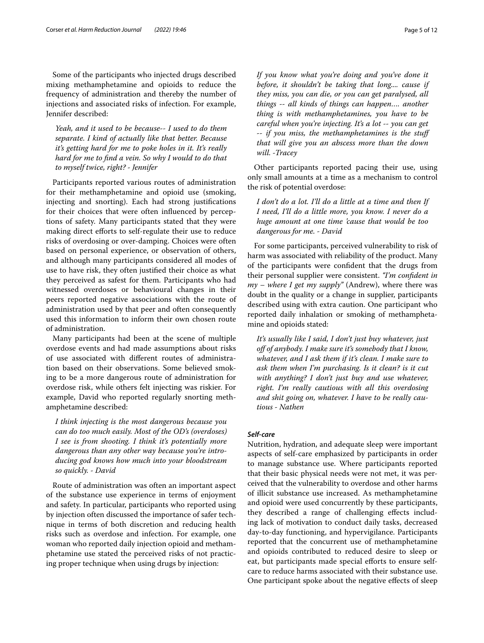Some of the participants who injected drugs described mixing methamphetamine and opioids to reduce the frequency of administration and thereby the number of injections and associated risks of infection. For example, Jennifer described:

*Yeah, and it used to be because-- I used to do them separate. I kind of actually like that better. Because it's getting hard for me to poke holes in it. It's really hard for me to fnd a vein. So why I would to do that to myself twice, right? - Jennifer*

Participants reported various routes of administration for their methamphetamine and opioid use (smoking, injecting and snorting). Each had strong justifcations for their choices that were often infuenced by perceptions of safety. Many participants stated that they were making direct efforts to self-regulate their use to reduce risks of overdosing or over-damping. Choices were often based on personal experience, or observation of others, and although many participants considered all modes of use to have risk, they often justifed their choice as what they perceived as safest for them. Participants who had witnessed overdoses or behavioural changes in their peers reported negative associations with the route of administration used by that peer and often consequently used this information to inform their own chosen route of administration.

Many participants had been at the scene of multiple overdose events and had made assumptions about risks of use associated with diferent routes of administration based on their observations. Some believed smoking to be a more dangerous route of administration for overdose risk, while others felt injecting was riskier. For example, David who reported regularly snorting methamphetamine described:

*I think injecting is the most dangerous because you can do too much easily. Most of the OD's (overdoses) I see is from shooting. I think it's potentially more dangerous than any other way because you're introducing god knows how much into your bloodstream so quickly. - David*

Route of administration was often an important aspect of the substance use experience in terms of enjoyment and safety. In particular, participants who reported using by injection often discussed the importance of safer technique in terms of both discretion and reducing health risks such as overdose and infection. For example, one woman who reported daily injection opioid and methamphetamine use stated the perceived risks of not practicing proper technique when using drugs by injection:

*If you know what you're doing and you've done it before, it shouldn't be taking that long.... cause if they miss, you can die, or you can get paralysed, all things -- all kinds of things can happen…. another thing is with methamphetamines, you have to be careful when you're injecting. It's a lot -- you can get -- if you miss, the methamphetamines is the stuf that will give you an abscess more than the down will. -Tracey*

Other participants reported pacing their use, using only small amounts at a time as a mechanism to control the risk of potential overdose:

*I don't do a lot. I'll do a little at a time and then If I need, I'll do a little more, you know. I never do a huge amount at one time 'cause that would be too dangerous for me. - David*

For some participants, perceived vulnerability to risk of harm was associated with reliability of the product. Many of the participants were confdent that the drugs from their personal supplier were consistent. *"I'm confdent in my – where I get my supply"* (Andrew), where there was doubt in the quality or a change in supplier, participants described using with extra caution. One participant who reported daily inhalation or smoking of methamphetamine and opioids stated:

*It's usually like I said, I don't just buy whatever, just of of anybody. I make sure it's somebody that I know, whatever, and I ask them if it's clean. I make sure to ask them when I'm purchasing. Is it clean? is it cut with anything? I don't just buy and use whatever, right. I'm really cautious with all this overdosing and shit going on, whatever. I have to be really cautious - Nathen*

# *Self‑care*

Nutrition, hydration, and adequate sleep were important aspects of self-care emphasized by participants in order to manage substance use. Where participants reported that their basic physical needs were not met, it was perceived that the vulnerability to overdose and other harms of illicit substance use increased. As methamphetamine and opioid were used concurrently by these participants, they described a range of challenging effects including lack of motivation to conduct daily tasks, decreased day-to-day functioning, and hypervigilance. Participants reported that the concurrent use of methamphetamine and opioids contributed to reduced desire to sleep or eat, but participants made special efforts to ensure selfcare to reduce harms associated with their substance use. One participant spoke about the negative effects of sleep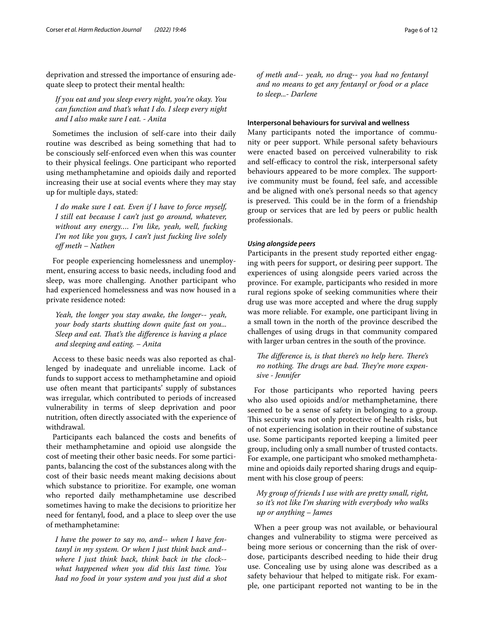deprivation and stressed the importance of ensuring adequate sleep to protect their mental health:

*If you eat and you sleep every night, you're okay. You can function and that's what I do. I sleep every night and I also make sure I eat. - Anita*

Sometimes the inclusion of self-care into their daily routine was described as being something that had to be consciously self-enforced even when this was counter to their physical feelings. One participant who reported using methamphetamine and opioids daily and reported increasing their use at social events where they may stay up for multiple days, stated:

*I do make sure I eat. Even if I have to force myself, I still eat because I can't just go around, whatever, without any energy…. I'm like, yeah, well, fucking I'm not like you guys, I can't just fucking live solely of meth – Nathen*

For people experiencing homelessness and unemployment, ensuring access to basic needs, including food and sleep, was more challenging. Another participant who had experienced homelessness and was now housed in a private residence noted:

*Yeah, the longer you stay awake, the longer-- yeah, your body starts shutting down quite fast on you... Sleep and eat. That's the difference is having a place and sleeping and eating. – Anita*

Access to these basic needs was also reported as challenged by inadequate and unreliable income. Lack of funds to support access to methamphetamine and opioid use often meant that participants' supply of substances was irregular, which contributed to periods of increased vulnerability in terms of sleep deprivation and poor nutrition, often directly associated with the experience of withdrawal.

Participants each balanced the costs and benefts of their methamphetamine and opioid use alongside the cost of meeting their other basic needs. For some participants, balancing the cost of the substances along with the cost of their basic needs meant making decisions about which substance to prioritize. For example, one woman who reported daily methamphetamine use described sometimes having to make the decisions to prioritize her need for fentanyl, food, and a place to sleep over the use of methamphetamine:

*I have the power to say no, and-- when I have fentanyl in my system. Or when I just think back and- where I just think back, think back in the clock- what happened when you did this last time. You had no food in your system and you just did a shot*  *of meth and-- yeah, no drug-- you had no fentanyl and no means to get any fentanyl or food or a place to sleep...- Darlene*

## **Interpersonal behaviours for survival and wellness**

Many participants noted the importance of community or peer support. While personal safety behaviours were enacted based on perceived vulnerability to risk and self-efficacy to control the risk, interpersonal safety behaviours appeared to be more complex. The supportive community must be found, feel safe, and accessible and be aligned with one's personal needs so that agency is preserved. This could be in the form of a friendship group or services that are led by peers or public health professionals.

## *Using alongside peers*

Participants in the present study reported either engaging with peers for support, or desiring peer support. The experiences of using alongside peers varied across the province. For example, participants who resided in more rural regions spoke of seeking communities where their drug use was more accepted and where the drug supply was more reliable. For example, one participant living in a small town in the north of the province described the challenges of using drugs in that community compared with larger urban centres in the south of the province.

*The difference is, is that there's no help here. There's* no nothing. The drugs are bad. They're more expen*sive - Jennifer*

For those participants who reported having peers who also used opioids and/or methamphetamine, there seemed to be a sense of safety in belonging to a group. This security was not only protective of health risks, but of not experiencing isolation in their routine of substance use. Some participants reported keeping a limited peer group, including only a small number of trusted contacts. For example, one participant who smoked methamphetamine and opioids daily reported sharing drugs and equipment with his close group of peers:

*My group of friends I use with are pretty small, right, so it's not like I'm sharing with everybody who walks up or anything – James*

When a peer group was not available, or behavioural changes and vulnerability to stigma were perceived as being more serious or concerning than the risk of overdose, participants described needing to hide their drug use. Concealing use by using alone was described as a safety behaviour that helped to mitigate risk. For example, one participant reported not wanting to be in the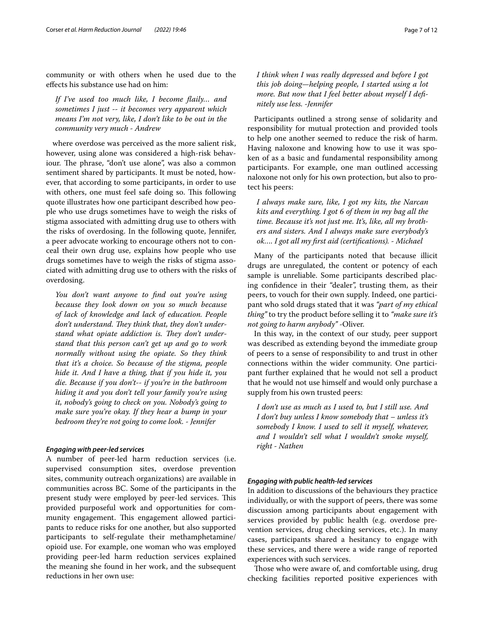community or with others when he used due to the efects his substance use had on him:

*If I've used too much like, I become faily… and sometimes I just -- it becomes very apparent which means I'm not very, like, I don't like to be out in the community very much - Andrew*

where overdose was perceived as the more salient risk, however, using alone was considered a high-risk behaviour. The phrase, "don't use alone", was also a common sentiment shared by participants. It must be noted, however, that according to some participants, in order to use with others, one must feel safe doing so. This following quote illustrates how one participant described how people who use drugs sometimes have to weigh the risks of stigma associated with admitting drug use to others with the risks of overdosing. In the following quote, Jennifer, a peer advocate working to encourage others not to conceal their own drug use, explains how people who use drugs sometimes have to weigh the risks of stigma associated with admitting drug use to others with the risks of overdosing.

*You don't want anyone to fnd out you're using because they look down on you so much because of lack of knowledge and lack of education. People*  don't understand. They think that, they don't understand what opiate addiction *is*. They don't under*stand that this person can't get up and go to work normally without using the opiate. So they think that it's a choice. So because of the stigma, people hide it. And I have a thing, that if you hide it, you die. Because if you don't-- if you're in the bathroom hiding it and you don't tell your family you're using it, nobody's going to check on you. Nobody's going to make sure you're okay. If they hear a bump in your bedroom they're not going to come look. - Jennifer*

#### *Engaging with peer‑led services*

A number of peer-led harm reduction services (i.e. supervised consumption sites, overdose prevention sites, community outreach organizations) are available in communities across BC. Some of the participants in the present study were employed by peer-led services. This provided purposeful work and opportunities for community engagement. This engagement allowed participants to reduce risks for one another, but also supported participants to self-regulate their methamphetamine/ opioid use. For example, one woman who was employed providing peer-led harm reduction services explained the meaning she found in her work, and the subsequent reductions in her own use:

*I think when I was really depressed and before I got this job doing—helping people, I started using a lot more. But now that I feel better about myself I defnitely use less. -Jennifer*

Participants outlined a strong sense of solidarity and responsibility for mutual protection and provided tools to help one another seemed to reduce the risk of harm. Having naloxone and knowing how to use it was spoken of as a basic and fundamental responsibility among participants. For example, one man outlined accessing naloxone not only for his own protection, but also to protect his peers:

*I always make sure, like, I got my kits, the Narcan kits and everything. I got 6 of them in my bag all the time. Because it's not just me. It's, like, all my brothers and sisters. And I always make sure everybody's ok…. I got all my frst aid (certifcations). - Michael*

Many of the participants noted that because illicit drugs are unregulated, the content or potency of each sample is unreliable. Some participants described placing confdence in their "dealer", trusting them, as their peers, to vouch for their own supply. Indeed, one participant who sold drugs stated that it was *"part of my ethical thing"* to try the product before selling it to *"make sure it's not going to harm anybody"* -Oliver.

In this way, in the context of our study, peer support was described as extending beyond the immediate group of peers to a sense of responsibility to and trust in other connections within the wider community. One participant further explained that he would not sell a product that he would not use himself and would only purchase a supply from his own trusted peers:

*I don't use as much as I used to, but I still use. And I don't buy unless I know somebody that – unless it's somebody I know. I used to sell it myself, whatever, and I wouldn't sell what I wouldn't smoke myself, right - Nathen*

# *Engaging with public health‑led services*

In addition to discussions of the behaviours they practice individually, or with the support of peers, there was some discussion among participants about engagement with services provided by public health (e.g. overdose prevention services, drug checking services, etc.). In many cases, participants shared a hesitancy to engage with these services, and there were a wide range of reported experiences with such services.

Those who were aware of, and comfortable using, drug checking facilities reported positive experiences with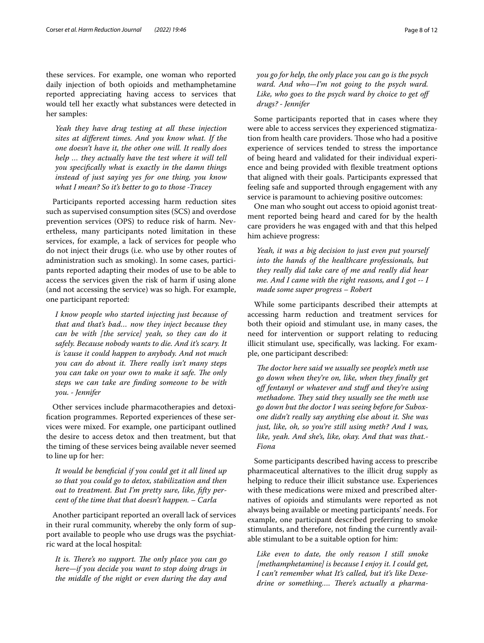these services. For example, one woman who reported daily injection of both opioids and methamphetamine reported appreciating having access to services that would tell her exactly what substances were detected in her samples:

*Yeah they have drug testing at all these injection sites at diferent times. And you know what. If the one doesn't have it, the other one will. It really does help … they actually have the test where it will tell you specifcally what is exactly in the damn things instead of just saying yes for one thing, you know what I mean? So it's better to go to those -Tracey*

Participants reported accessing harm reduction sites such as supervised consumption sites (SCS) and overdose prevention services (OPS) to reduce risk of harm. Nevertheless, many participants noted limitation in these services, for example, a lack of services for people who do not inject their drugs (i.e. who use by other routes of administration such as smoking). In some cases, participants reported adapting their modes of use to be able to access the services given the risk of harm if using alone (and not accessing the service) was so high. For example, one participant reported:

*I know people who started injecting just because of that and that's bad… now they inject because they can be with [the service] yeah, so they can do it safely. Because nobody wants to die. And it's scary. It is 'cause it could happen to anybody. And not much you can do about it. There really isn't many steps you can take on your own to make it safe. The only steps we can take are fnding someone to be with you. - Jennifer*

Other services include pharmacotherapies and detoxifcation programmes. Reported experiences of these services were mixed. For example, one participant outlined the desire to access detox and then treatment, but that the timing of these services being available never seemed to line up for her:

*It would be benefcial if you could get it all lined up so that you could go to detox, stabilization and then out to treatment. But I'm pretty sure, like, ffty percent of the time that that doesn't happen. – Carla*

Another participant reported an overall lack of services in their rural community, whereby the only form of support available to people who use drugs was the psychiatric ward at the local hospital:

It is. There's no support. The only place you can go *here—if you decide you want to stop doing drugs in the middle of the night or even during the day and*  *you go for help, the only place you can go is the psych ward. And who—I'm not going to the psych ward.*  Like, who goes to the psych ward by choice to get off *drugs? - Jennifer*

Some participants reported that in cases where they were able to access services they experienced stigmatization from health care providers. Those who had a positive experience of services tended to stress the importance of being heard and validated for their individual experience and being provided with fexible treatment options that aligned with their goals. Participants expressed that feeling safe and supported through engagement with any service is paramount to achieving positive outcomes:

One man who sought out access to opioid agonist treatment reported being heard and cared for by the health care providers he was engaged with and that this helped him achieve progress:

*Yeah, it was a big decision to just even put yourself into the hands of the healthcare professionals, but they really did take care of me and really did hear me. And I came with the right reasons, and I got -- I made some super progress – Robert*

While some participants described their attempts at accessing harm reduction and treatment services for both their opioid and stimulant use, in many cases, the need for intervention or support relating to reducing illicit stimulant use, specifcally, was lacking. For example, one participant described:

The doctor here said we usually see people's meth use *go down when they're on, like, when they fnally get of fentanyl or whatever and stuf and they're using methadone. They said they usually see the meth use go down but the doctor I was seeing before for Suboxone didn't really say anything else about it. She was just, like, oh, so you're still using meth? And I was, like, yeah. And she's, like, okay. And that was that.- Fiona*

Some participants described having access to prescribe pharmaceutical alternatives to the illicit drug supply as helping to reduce their illicit substance use. Experiences with these medications were mixed and prescribed alternatives of opioids and stimulants were reported as not always being available or meeting participants' needs. For example, one participant described preferring to smoke stimulants, and therefore, not fnding the currently available stimulant to be a suitable option for him:

*Like even to date, the only reason I still smoke [methamphetamine] is because I enjoy it. I could get, I can't remember what It's called, but it's like Dexedrine or something.... There's actually a pharma-*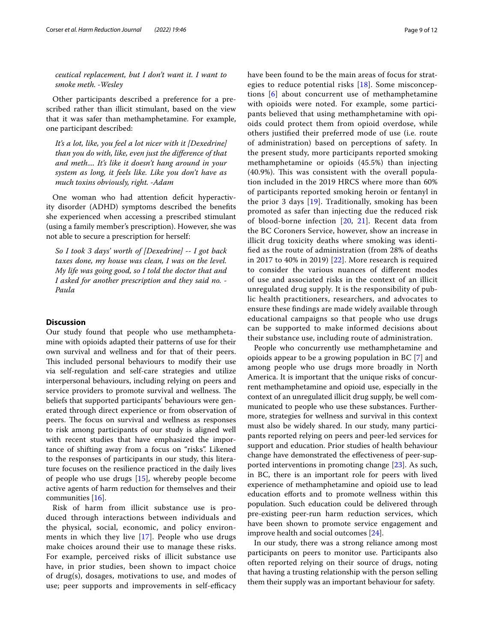*ceutical replacement, but I don't want it. I want to smoke meth. -Wesley*

Other participants described a preference for a prescribed rather than illicit stimulant, based on the view that it was safer than methamphetamine. For example, one participant described:

*It's a lot, like, you feel a lot nicer with it [Dexedrine] than you do with, like, even just the diference of that and meth.... It's like it doesn't hang around in your system as long, it feels like. Like you don't have as much toxins obviously, right. -Adam*

One woman who had attention deficit hyperactivity disorder (ADHD) symptoms described the benefts she experienced when accessing a prescribed stimulant (using a family member's prescription). However, she was not able to secure a prescription for herself:

*So I took 3 days' worth of [Dexedrine] -- I got back taxes done, my house was clean, I was on the level. My life was going good, so I told the doctor that and I asked for another prescription and they said no. - Paula*

# **Discussion**

Our study found that people who use methamphetamine with opioids adapted their patterns of use for their own survival and wellness and for that of their peers. This included personal behaviours to modify their use via self-regulation and self-care strategies and utilize interpersonal behaviours, including relying on peers and service providers to promote survival and wellness. The beliefs that supported participants' behaviours were generated through direct experience or from observation of peers. The focus on survival and wellness as responses to risk among participants of our study is aligned well with recent studies that have emphasized the importance of shifting away from a focus on "risks". Likened to the responses of participants in our study, this literature focuses on the resilience practiced in the daily lives of people who use drugs [\[15](#page-11-1)], whereby people become active agents of harm reduction for themselves and their communities [[16\]](#page-11-2).

Risk of harm from illicit substance use is produced through interactions between individuals and the physical, social, economic, and policy environments in which they live  $[17]$  $[17]$  $[17]$ . People who use drugs make choices around their use to manage these risks. For example, perceived risks of illicit substance use have, in prior studies, been shown to impact choice of drug(s), dosages, motivations to use, and modes of use; peer supports and improvements in self-efficacy have been found to be the main areas of focus for strategies to reduce potential risks [[18\]](#page-11-4). Some misconceptions [[6\]](#page-10-4) about concurrent use of methamphetamine with opioids were noted. For example, some participants believed that using methamphetamine with opioids could protect them from opioid overdose, while others justifed their preferred mode of use (i.e. route of administration) based on perceptions of safety. In the present study, more participants reported smoking methamphetamine or opioids (45.5%) than injecting  $(40.9\%)$ . This was consistent with the overall population included in the 2019 HRCS where more than 60% of participants reported smoking heroin or fentanyl in the prior 3 days  $[19]$  $[19]$ . Traditionally, smoking has been promoted as safer than injecting due the reduced risk of blood-borne infection [\[20](#page-11-6), [21](#page-11-7)]. Recent data from the BC Coroners Service, however, show an increase in illicit drug toxicity deaths where smoking was identifed as the route of administration (from 28% of deaths in 2017 to 40% in 2019) [[22\]](#page-11-8). More research is required to consider the various nuances of diferent modes of use and associated risks in the context of an illicit unregulated drug supply. It is the responsibility of public health practitioners, researchers, and advocates to ensure these fndings are made widely available through educational campaigns so that people who use drugs can be supported to make informed decisions about their substance use, including route of administration.

People who concurrently use methamphetamine and opioids appear to be a growing population in BC [\[7](#page-10-5)] and among people who use drugs more broadly in North America. It is important that the unique risks of concurrent methamphetamine and opioid use, especially in the context of an unregulated illicit drug supply, be well communicated to people who use these substances. Furthermore, strategies for wellness and survival in this context must also be widely shared. In our study, many participants reported relying on peers and peer-led services for support and education. Prior studies of health behaviour change have demonstrated the efectiveness of peer-supported interventions in promoting change [\[23](#page-11-9)]. As such, in BC, there is an important role for peers with lived experience of methamphetamine and opioid use to lead education eforts and to promote wellness within this population. Such education could be delivered through pre-existing peer-run harm reduction services, which have been shown to promote service engagement and improve health and social outcomes [\[24\]](#page-11-10).

In our study, there was a strong reliance among most participants on peers to monitor use. Participants also often reported relying on their source of drugs, noting that having a trusting relationship with the person selling them their supply was an important behaviour for safety.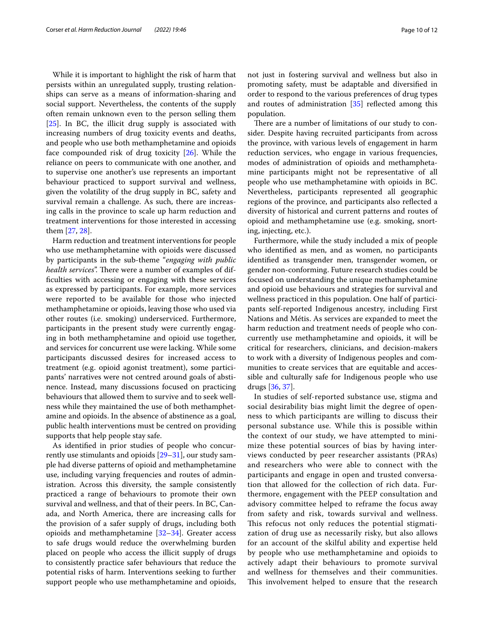While it is important to highlight the risk of harm that persists within an unregulated supply, trusting relationships can serve as a means of information-sharing and social support. Nevertheless, the contents of the supply often remain unknown even to the person selling them [[25\]](#page-11-11). In BC, the illicit drug supply is associated with increasing numbers of drug toxicity events and deaths, and people who use both methamphetamine and opioids face compounded risk of drug toxicity [[26\]](#page-11-12). While the reliance on peers to communicate with one another, and to supervise one another's use represents an important behaviour practiced to support survival and wellness, given the volatility of the drug supply in BC, safety and survival remain a challenge. As such, there are increasing calls in the province to scale up harm reduction and treatment interventions for those interested in accessing them [\[27](#page-11-13), [28\]](#page-11-14).

Harm reduction and treatment interventions for people who use methamphetamine with opioids were discussed by participants in the sub-theme "*engaging with public health services*". There were a number of examples of diffculties with accessing or engaging with these services as expressed by participants. For example, more services were reported to be available for those who injected methamphetamine or opioids, leaving those who used via other routes (i.e. smoking) underserviced. Furthermore, participants in the present study were currently engaging in both methamphetamine and opioid use together, and services for concurrent use were lacking. While some participants discussed desires for increased access to treatment (e.g. opioid agonist treatment), some participants' narratives were not centred around goals of abstinence. Instead, many discussions focused on practicing behaviours that allowed them to survive and to seek wellness while they maintained the use of both methamphetamine and opioids. In the absence of abstinence as a goal, public health interventions must be centred on providing supports that help people stay safe.

As identifed in prior studies of people who concurrently use stimulants and opioids [\[29](#page-11-15)[–31](#page-11-16)], our study sample had diverse patterns of opioid and methamphetamine use, including varying frequencies and routes of administration. Across this diversity, the sample consistently practiced a range of behaviours to promote their own survival and wellness, and that of their peers. In BC, Canada, and North America, there are increasing calls for the provision of a safer supply of drugs, including both opioids and methamphetamine  $[32-34]$  $[32-34]$  $[32-34]$ . Greater access to safe drugs would reduce the overwhelming burden placed on people who access the illicit supply of drugs to consistently practice safer behaviours that reduce the potential risks of harm. Interventions seeking to further support people who use methamphetamine and opioids, not just in fostering survival and wellness but also in promoting safety, must be adaptable and diversifed in order to respond to the various preferences of drug types and routes of administration [\[35\]](#page-11-19) refected among this population.

There are a number of limitations of our study to consider. Despite having recruited participants from across the province, with various levels of engagement in harm reduction services, who engage in various frequencies, modes of administration of opioids and methamphetamine participants might not be representative of all people who use methamphetamine with opioids in BC. Nevertheless, participants represented all geographic regions of the province, and participants also refected a diversity of historical and current patterns and routes of opioid and methamphetamine use (e.g. smoking, snorting, injecting, etc.).

Furthermore, while the study included a mix of people who identifed as men, and as women, no participants identifed as transgender men, transgender women, or gender non-conforming. Future research studies could be focused on understanding the unique methamphetamine and opioid use behaviours and strategies for survival and wellness practiced in this population. One half of participants self-reported Indigenous ancestry, including First Nations and Métis. As services are expanded to meet the harm reduction and treatment needs of people who concurrently use methamphetamine and opioids, it will be critical for researchers, clinicians, and decision-makers to work with a diversity of Indigenous peoples and communities to create services that are equitable and accessible and culturally safe for Indigenous people who use drugs [\[36](#page-11-20), [37\]](#page-11-21).

In studies of self-reported substance use, stigma and social desirability bias might limit the degree of openness to which participants are willing to discuss their personal substance use. While this is possible within the context of our study, we have attempted to minimize these potential sources of bias by having interviews conducted by peer researcher assistants (PRAs) and researchers who were able to connect with the participants and engage in open and trusted conversation that allowed for the collection of rich data. Furthermore, engagement with the PEEP consultation and advisory committee helped to reframe the focus away from safety and risk, towards survival and wellness. This refocus not only reduces the potential stigmatization of drug use as necessarily risky, but also allows for an account of the skilful ability and expertise held by people who use methamphetamine and opioids to actively adapt their behaviours to promote survival and wellness for themselves and their communities. This involvement helped to ensure that the research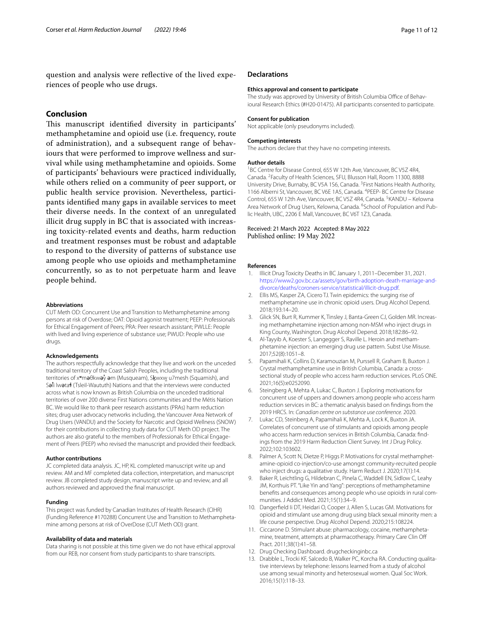question and analysis were refective of the lived experiences of people who use drugs.

# **Conclusion**

This manuscript identified diversity in participants' methamphetamine and opioid use (i.e. frequency, route of administration), and a subsequent range of behaviours that were performed to improve wellness and survival while using methamphetamine and opioids. Some of participants' behaviours were practiced individually, while others relied on a community of peer support, or public health service provision. Nevertheless, participants identifed many gaps in available services to meet their diverse needs. In the context of an unregulated illicit drug supply in BC that is associated with increasing toxicity-related events and deaths, harm reduction and treatment responses must be robust and adaptable to respond to the diversity of patterns of substance use among people who use opioids and methamphetamine concurrently, so as to not perpetuate harm and leave people behind.

#### **Abbreviations**

CUT Meth OD: Concurrent Use and Transition to Methamphetamine among persons at risk of Overdose; OAT: Opioid agonist treatment; PEEP: Professionals for Ethical Engagement of Peers; PRA: Peer research assistant; PWLLE: People with lived and living experience of substance use; PWUD: People who use drugs.

#### **Acknowledgements**

The authors respectfully acknowledge that they live and work on the unceded traditional territory of the Coast Salish Peoples, including the traditional territories of x<sup>w</sup>maθkwa' am (Musqueam), Skwxw u7mesh (Squamish), and Sali lwata { (Tsleil-Waututh) Nations and that the interviews were conducted across what is now known as British Columbia on the unceded traditional territories of over 200 diverse First Nations communities and the Métis Nation BC. We would like to thank peer research assistants (PRAs) harm reduction sites; drug user advocacy networks including, the Vancouver Area Network of Drug Users (VANDU) and the Society for Narcotic and Opioid Wellness (SNOW) for their contributions in collecting study data for CUT Meth OD project. The authors are also grateful to the members of Professionals for Ethical Engagement of Peers (PEEP) who revised the manuscript and provided their feedback.

#### **Author contributions**

JC completed data analysis. JC, HP, KL completed manuscript write up and review. AM and MF completed data collection, interpretation, and manuscript review. JB completed study design, manuscript write up and review, and all authors reviewed and approved the fnal manuscript.

#### **Funding**

This project was funded by Canadian Institutes of Health Research (CIHR) (Funding Reference #170288) Concurrent Use and Transition to Methamphetamine among persons at risk of OverDose (CUT Meth OD) grant.

#### **Availability of data and materials**

Data sharing is not possible at this time given we do not have ethical approval from our REB, nor consent from study participants to share transcripts.

#### **Declarations**

#### **Ethics approval and consent to participate**

The study was approved by University of British Columbia Office of Behavioural Research Ethics (#H20-01475). All participants consented to participate.

#### **Consent for publication**

Not applicable (only pseudonyms included).

#### **Competing interests**

The authors declare that they have no competing interests.

#### **Author details**

<sup>1</sup>BC Centre for Disease Control, 655 W 12th Ave, Vancouver, BC V5Z 4R4, Canada. <sup>2</sup> Faculty of Health Sciences, SFU, Blusson Hall, Room 11300, 8888 University Drive, Burnaby, BC V5A 1S6, Canada. <sup>3</sup> First Nations Health Authority, 1166 Alberni St, Vancouver, BC V6E 1A5, Canada. 4 PEEP- BC Centre for Disease Control, 655 W 12th Ave, Vancouver, BC V5Z 4R4, Canada. <sup>5</sup>KANDU - Kelowna Area Network of Drug Users, Kelowna, Canada. <sup>6</sup>School of Population and Public Health, UBC, 2206 E Mall, Vancouver, BC V6T 1Z3, Canada.

#### Received: 21 March 2022 Accepted: 8 May 2022 Published online: 19 May 2022

#### **References**

- <span id="page-10-0"></span>1. Illicit Drug Toxicity Deaths in BC January 1, 2011–December 31, 2021. [https://www2.gov.bc.ca/assets/gov/birth-adoption-death-marriage-and](https://www2.gov.bc.ca/assets/gov/birth-adoption-death-marriage-and-divorce/deaths/coroners-service/statistical/illicit-drug.pdf)[divorce/deaths/coroners-service/statistical/illicit-drug.pdf.](https://www2.gov.bc.ca/assets/gov/birth-adoption-death-marriage-and-divorce/deaths/coroners-service/statistical/illicit-drug.pdf)
- <span id="page-10-1"></span>2. Ellis MS, Kasper ZA, Cicero TJ. Twin epidemics: the surging rise of methamphetamine use in chronic opioid users. Drug Alcohol Depend. 2018;193:14–20.
- 3. Glick SN, Burt R, Kummer K, Tinsley J, Banta-Green CJ, Golden MR. Increasing methamphetamine injection among non-MSM who inject drugs in King County, Washington. Drug Alcohol Depend. 2018;182:86–92.
- <span id="page-10-2"></span>4. Al-Tayyib A, Koester S, Langegger S, Raville L. Heroin and methamphetamine injection: an emerging drug use pattern. Subst Use Misuse. 2017;52(8):1051–8.
- <span id="page-10-3"></span>5. Papamihali K, Collins D, Karamouzian M, Purssell R, Graham B, Buxton J. Crystal methamphetamine use in British Columbia, Canada: a crosssectional study of people who access harm reduction services. PLoS ONE. 2021;16(5):e0252090.
- <span id="page-10-4"></span>6. Steingberg A, Mehta A, Lukac C, Buxton J. Exploring motivations for concurrent use of uppers and downers among people who access harm reduction services in BC: a thematic analysis based on fndings from the 2019 HRCS. In: *Canadian centre on substance use conference.* 2020.
- <span id="page-10-5"></span>7. Lukac CD, Steinberg A, Papamihali K, Mehta A, Lock K, Buxton JA. Correlates of concurrent use of stimulants and opioids among people who access harm reduction services in British Columbia, Canada: fndings from the 2019 Harm Reduction Client Survey. Int J Drug Policy. 2022;102:103602.
- <span id="page-10-6"></span>8. Palmer A, Scott N, Dietze P, Higgs P. Motivations for crystal methamphetamine-opioid co-injection/co-use amongst community-recruited people who inject drugs: a qualitative study. Harm Reduct J. 2020;17(1):14.
- <span id="page-10-7"></span>Baker R, Leichtling G, Hildebran C, Pinela C, Waddell EN, Sidlow C, Leahy JM, Korthuis PT. "Like Yin and Yang": perceptions of methamphetamine benefts and consequences among people who use opioids in rural communities. J Addict Med. 2021;15(1):34–9.
- <span id="page-10-8"></span>10. Dangerfeld Ii DT, Heidari O, Cooper J, Allen S, Lucas GM. Motivations for opioid and stimulant use among drug using black sexual minority men: a life course perspective. Drug Alcohol Depend. 2020;215:108224.
- <span id="page-10-9"></span>11. Ciccarone D. Stimulant abuse: pharmacology, cocaine, methamphetamine, treatment, attempts at pharmacotherapy. Primary Care Clin Of Pract. 2011;38(1):41–58.
- <span id="page-10-10"></span>12. Drug Checking Dashboard. drugcheckinginbc.ca
- <span id="page-10-11"></span>13. Drabble L, Trocki KF, Salcedo B, Walker PC, Korcha RA. Conducting qualitative interviews by telephone: lessons learned from a study of alcohol use among sexual minority and heterosexual women. Qual Soc Work. 2016;15(1):118–33.